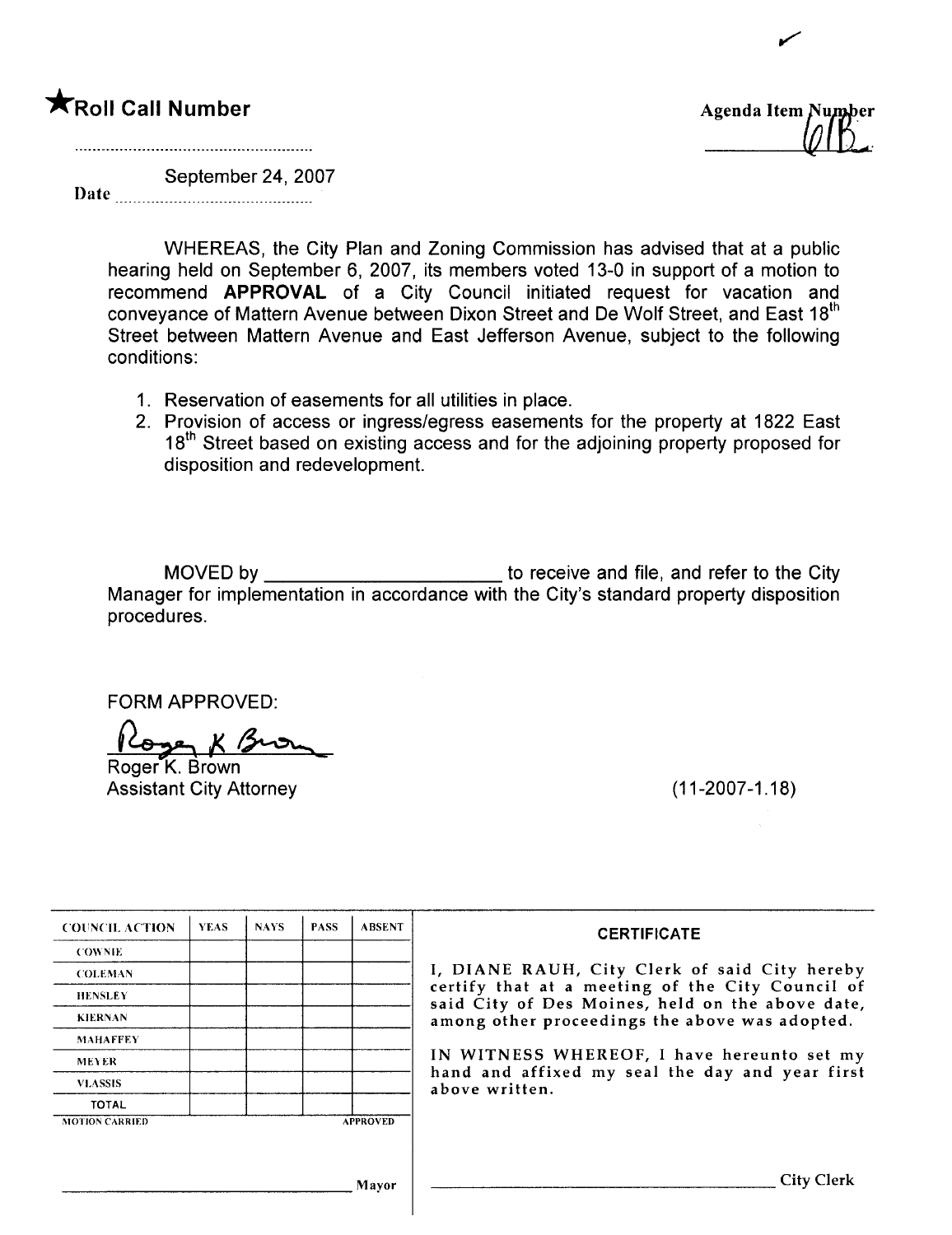## **\***Roll Call Number **Agenda Item** <sup>Number</sup> Agenda Item <sup>Number</sup>



,/

Date **Date** September 24, 2007

WHEREAS, the City Plan and Zoning Commission has advised that at a public hearing held on September 6, 2007, its members voted 13-0 in support of a motion to recommend APPROVAL of a City Council initiated request for vacation and conveyance of Mattern Avenue between Dixon Street and De Wolf Street, and East 18<sup>th</sup> Street between Mattern Avenue and East Jefferson Avenue, subject to the following conditions:

- 1. Reservation of easements for all utilities in place.
- 2. Provision of access or ingress/egress easements for the property at 1822 East 18<sup>th</sup> Street based on existing access and for the adjoining property proposed for disposition and redevelopment.

MOVED by to receive and file, and refer to the City Manager for implementation in accordance with the City's standard property disposition procedures.

FORM APPROVED:

Roger K Brown

Assistant City Attorney (11-2007-1.18)

| <b>COUNCIL ACTION</b> | <b>YEAS</b> | <b>NAYS</b> | <b>PASS</b> | <b>ABSENT</b>   | <b>CERTIFICATE</b>                                                                                 |
|-----------------------|-------------|-------------|-------------|-----------------|----------------------------------------------------------------------------------------------------|
| <b>COWNIE</b>         |             |             |             |                 |                                                                                                    |
| <b>COLEMAN</b>        |             |             |             |                 | I, DIANE RAUH, City Clerk of said City hereby                                                      |
| <b>HENSLEY</b>        |             |             |             |                 | certify that at a meeting of the City Council of                                                   |
| <b>KIERNAN</b>        |             |             |             |                 | said City of Des Moines, held on the above date,<br>among other proceedings the above was adopted. |
| <b>MAHAFFEY</b>       |             |             |             |                 |                                                                                                    |
| <b>MEYER</b>          |             |             |             |                 | IN WITNESS WHEREOF, I have hereunto set my                                                         |
| <b>VLASSIS</b>        |             |             |             |                 | hand and affixed my seal the day and year first<br>above written.                                  |
| <b>TOTAL</b>          |             |             |             |                 |                                                                                                    |
| <b>MOTION CARRIED</b> |             |             |             | <b>APPROVED</b> |                                                                                                    |
|                       |             |             |             |                 |                                                                                                    |
|                       |             |             |             |                 |                                                                                                    |
|                       |             |             |             | Mavor           | <b>City Clerk</b>                                                                                  |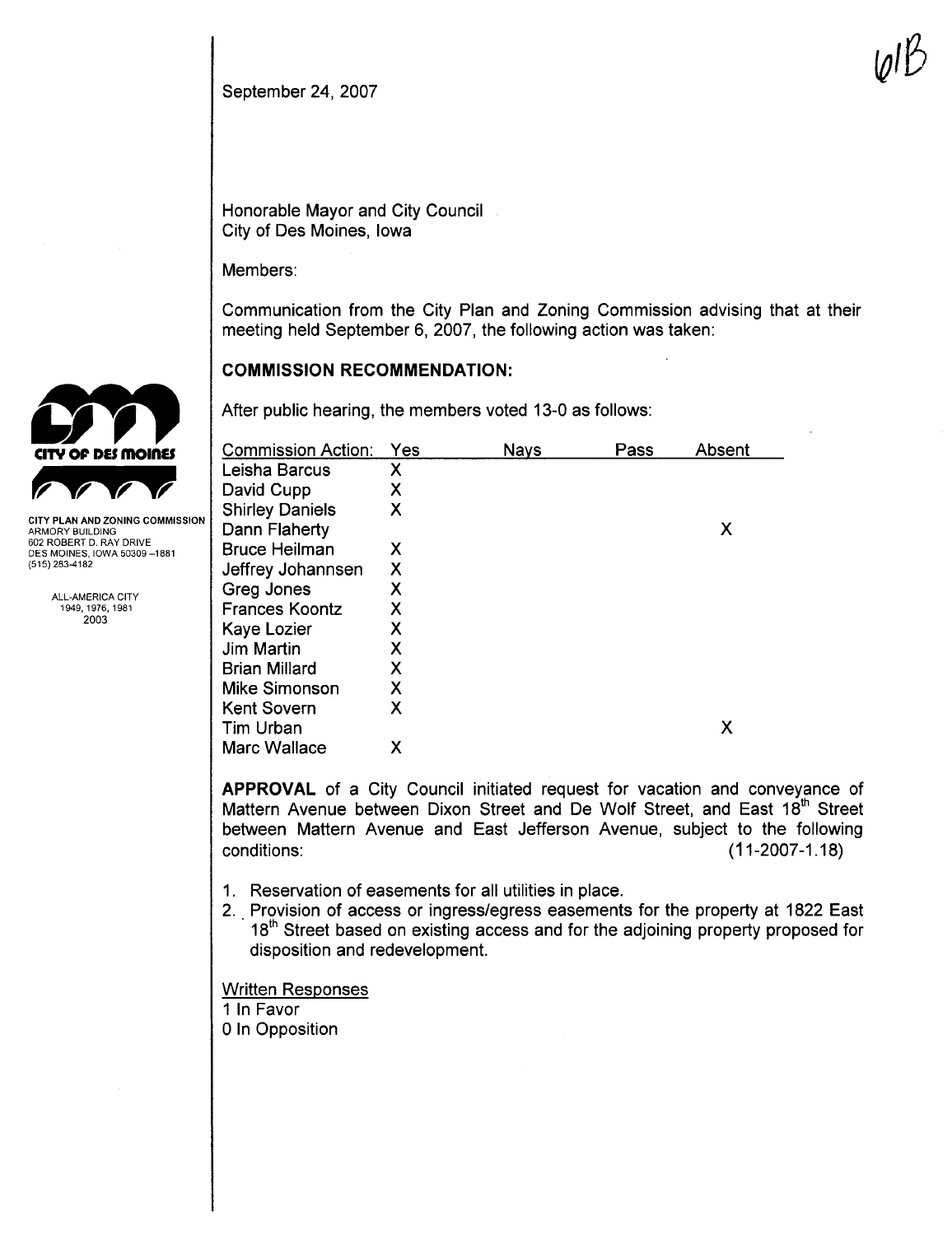Honorable Mayor and City Council City of Des Moines, Iowa

Members:

Communication from the City Plan and Zoning Commission advising that at their meeting held September 6,2007, the following action was taken:

 $\psi \nu$ 

#### COMMISSION RECOMMENDATION:

After public hearing, the members voted 13-0 as follows:

| Commission Action:     | Yes | Nays | Pass | Absent |
|------------------------|-----|------|------|--------|
| Leisha Barcus          | х   |      |      |        |
| David Cupp             | Χ   |      |      |        |
| <b>Shirley Daniels</b> | Χ   |      |      |        |
| Dann Flaherty          |     |      |      | X      |
| <b>Bruce Heilman</b>   | X   |      |      |        |
| Jeffrey Johannsen      | Χ   |      |      |        |
| Greg Jones             | Х   |      |      |        |
| <b>Frances Koontz</b>  | Χ   |      |      |        |
| Kaye Lozier            | Х   |      |      |        |
| <b>Jim Martin</b>      | Х   |      |      |        |
| <b>Brian Millard</b>   | Χ   |      |      |        |
| <b>Mike Simonson</b>   | Χ   |      |      |        |
| <b>Kent Sovern</b>     | Χ   |      |      |        |
| <b>Tim Urban</b>       |     |      |      | X      |
| Marc Wallace           | х   |      |      |        |

APPROVAL of a City Council initiated request for vacation and conveyance of Mattern Avenue between Dixon Street and De Wolf Street, and East 18<sup>th</sup> Street between Mattern Avenue and East Jefferson Avenue, subject to the following conditions: (11-2007 -1.18)

- 1. Reservation of easements for all utilities in place.
- 2. Provision of access or ingress/egress easements for the property at 1822 East 18<sup>th</sup> Street based on existing access and for the adjoining property proposed for disposition and redevelopment.

Written Responses

1 In Favor o In Opposition



ALL-AMERICA CITY 1949,1976,1981 2003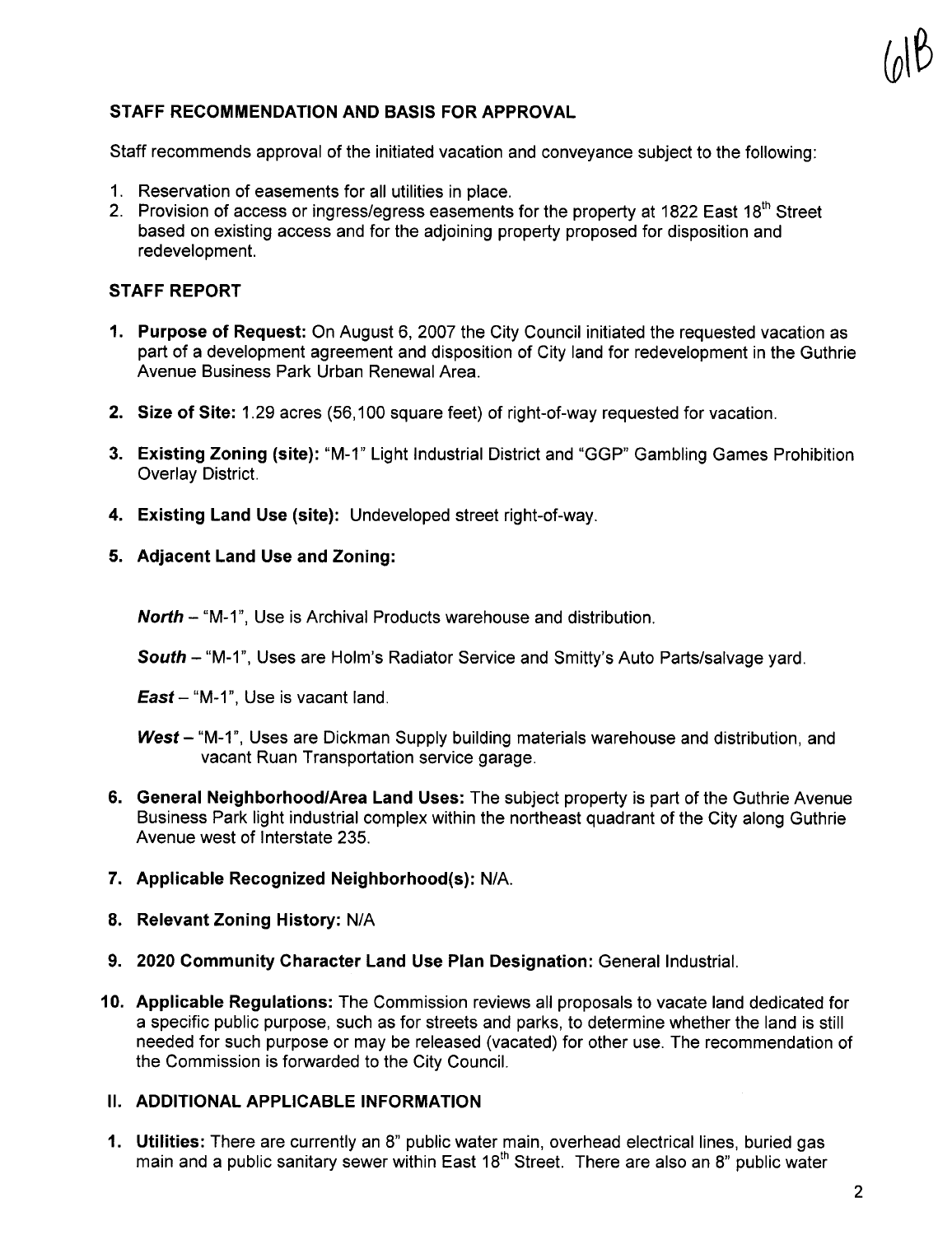# $U^{\mathcal{U}}$

#### STAFF RECOMMENDATION AND BASIS FOR APPROVAL

Staff recommends approval of the initiated vacation and conveyance subject to the following:

- 1. Reservation of easements for all utilities in place.
- 2. Provision of access or ingress/egress easements for the property at 1822 East 18<sup>th</sup> Street based on existing access and for the adjoining property proposed for disposition and redevelopment.

#### STAFF REPORT

- 1. Purpose of Request: On August 6, 2007 the City Council initiated the requested vacation as part of a development agreement and disposition of City land for redevelopment in the Guthrie Avenue Business Park Urban Renewal Area.
- 2. Size of Site: 1.29 acres (56,100 square feet) of right-of-way requested for vacation.
- 3. Existing Zoning (site): "M-1" Light Industrial District and "GGP" Gambling Games Prohibition Overlay District.
- 4. Existing Land Use (site): Undeveloped street right-of-way.
- 5. Adjacent Land Use and Zoning:
	- North "M-1", Use is Archival Products warehouse and distribution.
	- South "M-1", Uses are Holm's Radiator Service and Smitty's Auto Parts/salvage vard.
	- **East** "M-1", Use is vacant land.
	- West "M-1", Uses are Dickman Supply building materials warehouse and distribution, and vacant Ruan Transportation service garage.
- 6. General Neighborhood/Area Land Uses: The subject property is part of the Guthrie Avenue Business Park light industrial complex within the northeast quadrant of the City along Guthrie Avenue west of Interstate 235.
- 7. Applicable Recognized Neighborhood(s): N/A.
- 8. Relevant Zoning History: N/A
- 9. 2020 Community Character Land Use Plan Designation: General Industrial.
- 10. Applicable Regulations: The Commission reviews all proposals to vacate land dedicated for a specific public purpose, such as for streets and parks, to determine whether the land is still needed for such purpose or may be released (vacated) for other use. The recommendation of the Commission is forwarded to the City CounciL.

#### II. ADDITIONAL APPLICABLE INFORMATION

1. Utilities: There are currently an 8" public water main, overhead electrical lines, buried gas main and a public sanitary sewer within East  $18<sup>th</sup>$  Street. There are also an  $8<sup>n</sup>$  public water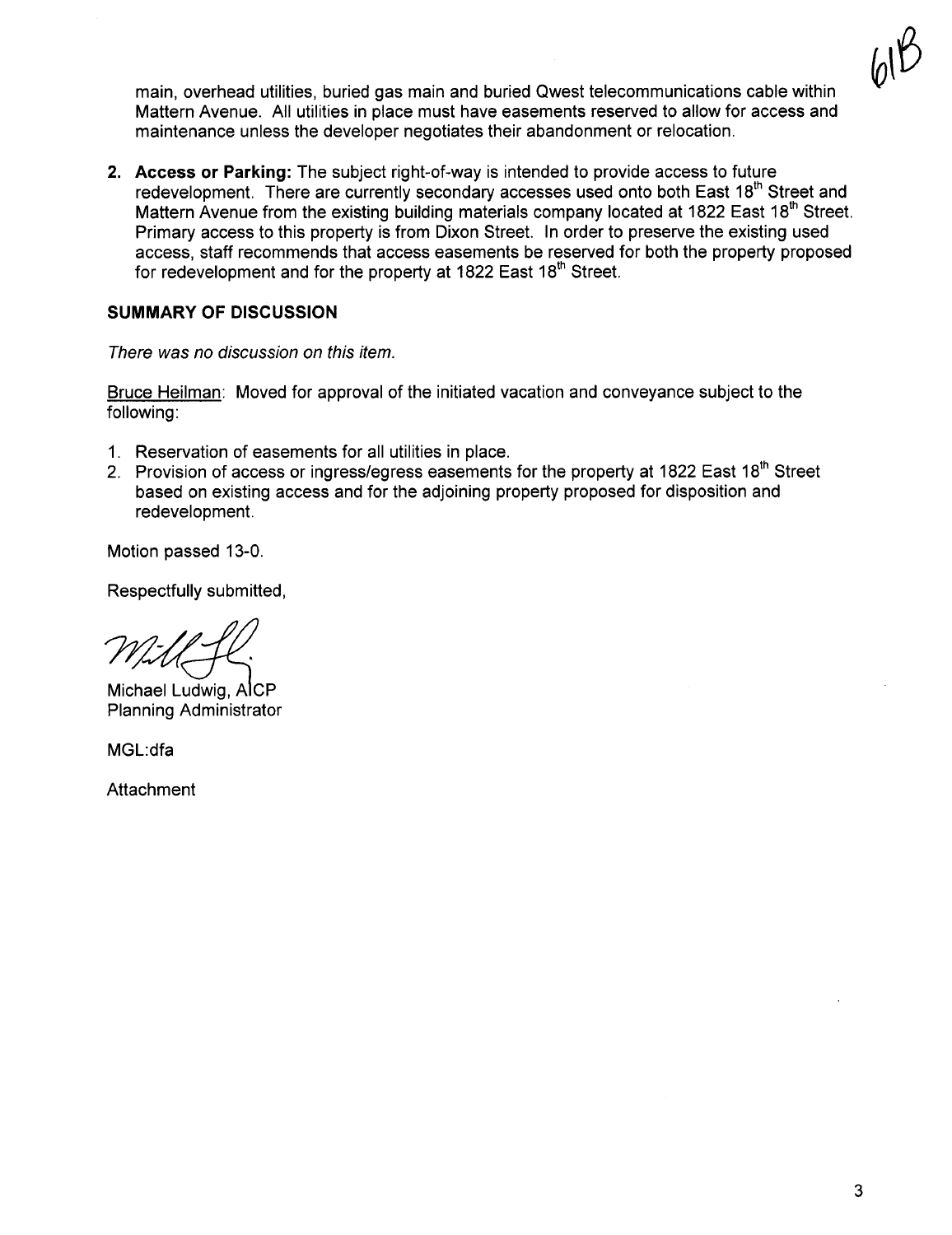$\emptyset^{\mathcal{V}}$ 

main, overhead utilities, buried gas main and buried Qwest telecommunications cable within Mattern Avenue. All utilities in place must have easements reserved to allow for access and maintenance unless the developer negotiates their abandonment or relocation.

2. Access or Parking: The subject right-of-way is intended to provide access to future redevelopment. There are currently secondary accesses used onto both East 18<sup>th</sup> Street and Mattern Avenue from the existing building materials company located at 1822 East 18<sup>th</sup> Street. Primary access to this property is from Dixon Street. In order to preserve the existing used access, staff recommends that access easements be reserved for both the property proposed for redevelopment and for the property at 1822 East 18<sup>th</sup> Street.

#### SUMMARY OF DISCUSSION

There was no discussion on this item.

Bruce Heilman: Moved for approval of the initiated vacation and conveyance subject to the following:

- 1. Reservation of easements for all utilities in place.
- 2. Provision of access or ingress/egress easements for the property at 1822 East 18<sup>th</sup> Street based on existing access and for the adjoining property proposed for disposition and redevelopment.

Motion passed 13-0.

Respectfully submitted,

m<br>1997<br>Michael Ludwig, AlcP

Planning Administrator

MGL:dfa

Attachment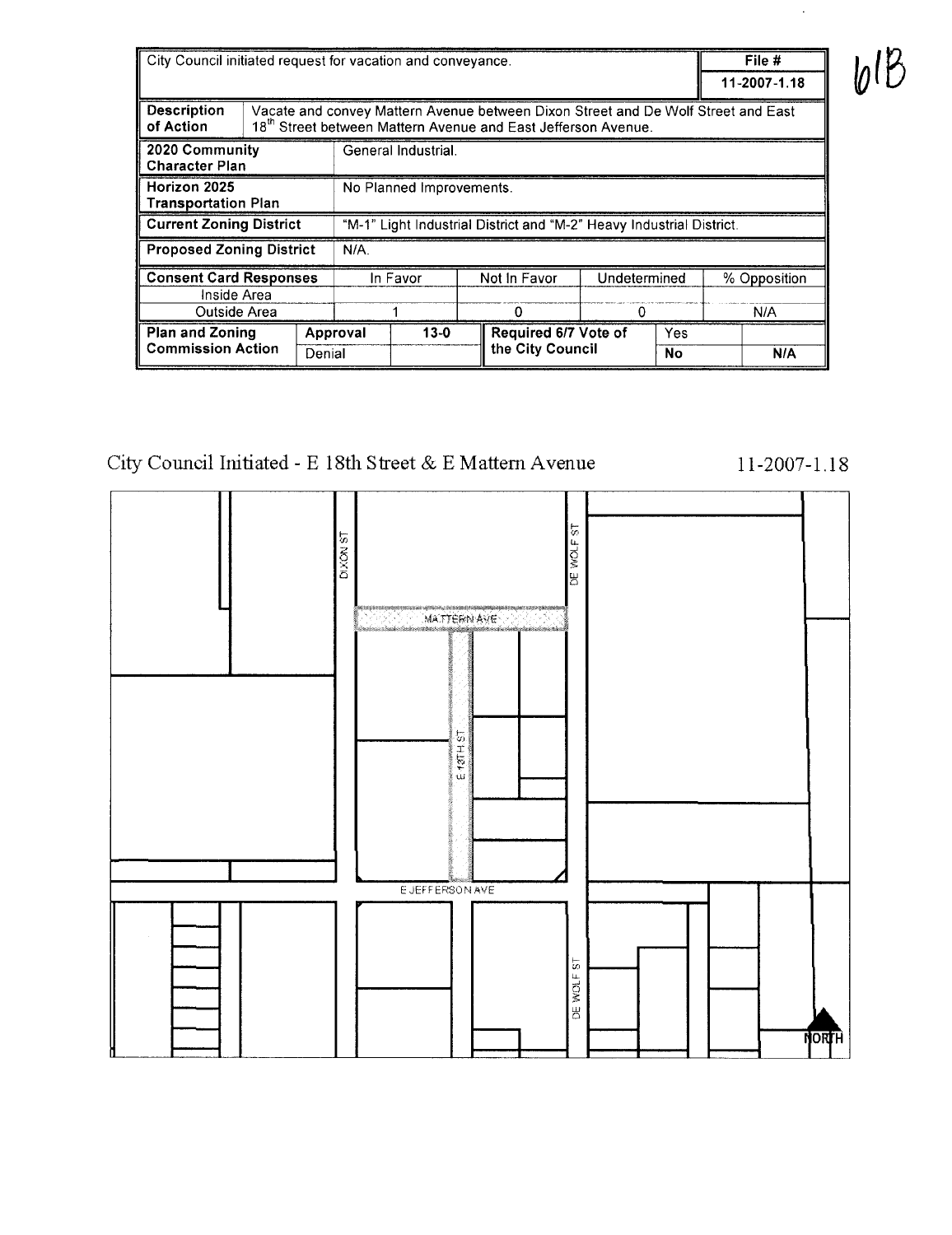| City Council initiated request for vacation and conveyance.  |                    |                                                                                                                                                                |                                                                      |                   |                                          |  |                     | File # |     |
|--------------------------------------------------------------|--------------------|----------------------------------------------------------------------------------------------------------------------------------------------------------------|----------------------------------------------------------------------|-------------------|------------------------------------------|--|---------------------|--------|-----|
|                                                              |                    |                                                                                                                                                                |                                                                      |                   |                                          |  | 11-2007-1.18        |        |     |
| <b>Description</b><br>of Action                              |                    | Vacate and convey Mattern Avenue between Dixon Street and De Wolf Street and East<br>18 <sup>th</sup> Street between Mattern Avenue and East Jefferson Avenue. |                                                                      |                   |                                          |  |                     |        |     |
| 2020 Community<br><b>Character Plan</b>                      |                    |                                                                                                                                                                | General Industrial.                                                  |                   |                                          |  |                     |        |     |
| Horizon 2025<br><b>Transportation Plan</b>                   |                    |                                                                                                                                                                | No Planned Improvements.                                             |                   |                                          |  |                     |        |     |
| <b>Current Zoning District</b>                               |                    |                                                                                                                                                                | "M-1" Light Industrial District and "M-2" Heavy Industrial District. |                   |                                          |  |                     |        |     |
| <b>Proposed Zoning District</b>                              |                    |                                                                                                                                                                | $N/A$ .                                                              |                   |                                          |  |                     |        |     |
| <b>Consent Card Responses</b><br>Inside Area<br>Outside Area |                    | In Favor                                                                                                                                                       |                                                                      | Not In Favor<br>o | Undetermined<br>0                        |  | % Opposition<br>N/A |        |     |
| <b>Plan and Zoning</b><br><b>Commission Action</b>           | Approval<br>Denial |                                                                                                                                                                |                                                                      | $13-0$            | Required 6/7 Vote of<br>the City Council |  | Yes<br>No           |        | N/A |

### City Council Initiated - E $18\mathrm{th}$  Street & E Mattern Avenue



11-2007-1.18

613

 $\hat{\mathcal{A}}$